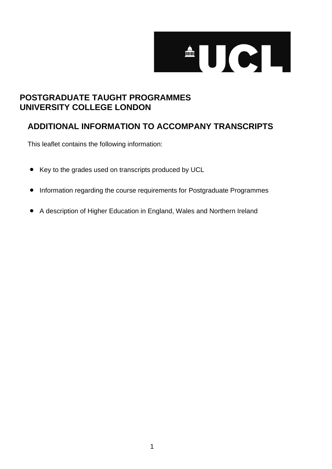

# **POSTGRADUATE TAUGHT PROGRAMMES UNIVERSITY COLLEGE LONDON**

# **ADDITIONAL INFORMATION TO ACCOMPANY TRANSCRIPTS**

This leaflet contains the following information:

- Key to the grades used on transcripts produced by UCL
- Information regarding the course requirements for Postgraduate Programmes
- A description of Higher Education in England, Wales and Northern Ireland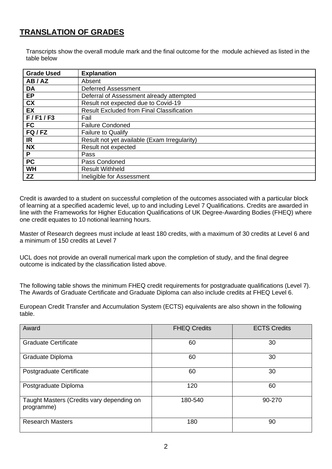## **TRANSLATION OF GRADES**

Transcripts show the overall module mark and the final outcome for the module achieved as listed in the table below

| <b>Grade Used</b>      | <b>Explanation</b>                               |
|------------------------|--------------------------------------------------|
| AB/AZ                  | Absent                                           |
| <b>DA</b>              | <b>Deferred Assessment</b>                       |
| EP                     | Deferral of Assessment already attempted         |
| $\overline{\text{cx}}$ | Result not expected due to Covid-19              |
| EX                     | <b>Result Excluded from Final Classification</b> |
| F/F1/F3                | Fail                                             |
| <b>FC</b>              | <b>Failure Condoned</b>                          |
| FQ/FZ                  | <b>Failure to Qualify</b>                        |
| <b>IR</b>              | Result not yet available (Exam Irregularity)     |
| <b>NX</b>              | Result not expected                              |
| P                      | Pass                                             |
| <b>PC</b>              | Pass Condoned                                    |
| <b>WH</b>              | <b>Result Withheld</b>                           |
| ZZ                     | Ineligible for Assessment                        |

Credit is awarded to a student on successful completion of the outcomes associated with a particular block of learning at a specified academic level, up to and including Level 7 Qualifications. Credits are awarded in line with the Frameworks for Higher Education Qualifications of UK Degree-Awarding Bodies (FHEQ) where one credit equates to 10 notional learning hours.

Master of Research degrees must include at least 180 credits, with a maximum of 30 credits at Level 6 and a minimum of 150 credits at Level 7

UCL does not provide an overall numerical mark upon the completion of study, and the final degree outcome is indicated by the classification listed above.

The following table shows the minimum FHEQ credit requirements for postgraduate qualifications (Level 7). The Awards of Graduate Certificate and Graduate Diploma can also include credits at FHEQ Level 6.

European Credit Transfer and Accumulation System (ECTS) equivalents are also shown in the following table.

| Award                                                   | <b>FHEQ Credits</b> | <b>ECTS Credits</b> |
|---------------------------------------------------------|---------------------|---------------------|
| <b>Graduate Certificate</b>                             | 60                  | 30                  |
| Graduate Diploma                                        | 60                  | 30                  |
| Postgraduate Certificate                                | 60                  | 30                  |
| Postgraduate Diploma                                    | 120                 | 60                  |
| Taught Masters (Credits vary depending on<br>programme) | 180-540             | 90-270              |
| <b>Research Masters</b>                                 | 180                 | 90                  |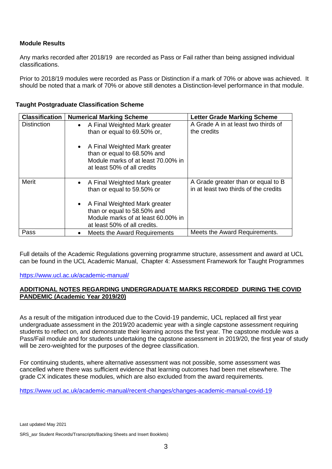### **Module Results**

Any marks recorded after 2018/19 are recorded as Pass or Fail rather than being assigned individual classifications.

Prior to 2018/19 modules were recorded as Pass or Distinction if a mark of 70% or above was achieved. It should be noted that a mark of 70% or above still denotes a Distinction-level performance in that module.

| <b>Classification</b> | <b>Numerical Marking Scheme</b>                                                                                                    | <b>Letter Grade Marking Scheme</b>                                          |
|-----------------------|------------------------------------------------------------------------------------------------------------------------------------|-----------------------------------------------------------------------------|
| <b>Distinction</b>    | A Final Weighted Mark greater<br>$\bullet$<br>than or equal to 69.50% or,                                                          | A Grade A in at least two thirds of<br>the credits                          |
|                       | A Final Weighted Mark greater<br>than or equal to 68.50% and<br>Module marks of at least 70,00% in<br>at least 50% of all credits  |                                                                             |
| <b>Merit</b>          | A Final Weighted Mark greater<br>$\bullet$<br>than or equal to 59.50% or                                                           | A Grade greater than or equal to B<br>in at least two thirds of the credits |
|                       | A Final Weighted Mark greater<br>than or equal to 58.50% and<br>Module marks of at least 60,00% in<br>at least 50% of all credits. |                                                                             |
| Pass                  | Meets the Award Requirements                                                                                                       | Meets the Award Requirements.                                               |

## **Taught Postgraduate Classification Scheme**

Full details of the Academic Regulations governing programme structure, assessment and award at UCL can be found in the UCL Academic Manual, Chapter 4: Assessment Framework for Taught Programmes

<https://www.ucl.ac.uk/academic-manual/>

### **ADDITIONAL NOTES REGARDING UNDERGRADUATE MARKS RECORDED DURING THE COVID PANDEMIC (Academic Year 2019/20)**

As a result of the mitigation introduced due to the Covid-19 pandemic, UCL replaced all first year undergraduate assessment in the 2019/20 academic year with a single capstone assessment requiring students to reflect on, and demonstrate their learning across the first year. The capstone module was a Pass/Fail module and for students undertaking the capstone assessment in 2019/20, the first year of study will be zero-weighted for the purposes of the degree classification.

For continuing students, where alternative assessment was not possible, some assessment was cancelled where there was sufficient evidence that learning outcomes had been met elsewhere. The grade CX indicates these modules, which are also excluded from the award requirements.

<https://www.ucl.ac.uk/academic-manual/recent-changes/changes-academic-manual-covid-19>

Last updated May 2021

SRS\_asr Student Records/Transcripts/Backing Sheets and Insert Booklets)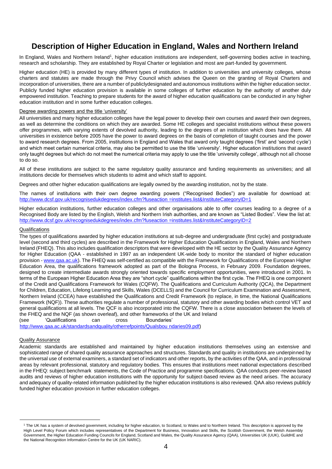## **Description of Higher Education in England, Wales and Northern Ireland**

In England, Wales and Northern Ireland<sup>1</sup>, higher education institutions are independent, self-governing bodies active in teaching, research and scholarship. They are established by Royal Charter or legislation and most are part-funded by government.

Higher education (HE) is provided by many different types of institution. In addition to universities and university colleges, whose charters and statutes are made through the Privy Council which advises the Queen on the granting of Royal Charters and incorporation of universities, there are a number of publiclydesignated and autonomous institutions within the higher education sector. Publicly funded higher education provision is available in some colleges of further education by the authority of another duly empowered institution. Teaching to prepare students for the award of higher education qualifications can be conducted in any higher education institution and in some further education colleges.

#### Degree awarding powers and the title 'university'

All universities and many higher education colleges have the legal power to develop their own courses and award their own degrees, as well as determine the conditions on which they are awarded. Some HE colleges and specialist institutions without these powers offer programmes, with varying extents of devolved authority, leading to the degrees of an institution which does have them. All universities in existence before 2005 have the power to award degrees on the basis of completion of taught courses and the power to award research degrees. From 2005, institutions in England and Wales that award only taught degrees ('first' and 'second cycle') and which meet certain numerical criteria, may also be permitted to use the title 'university'. Higher education institutions that award only taught degrees but which do not meet the numerical criteria may apply to use the title 'university college', although not all choose to do so.

All of these institutions are subject to the same regulatory quality assurance and funding requirements as universities; and all institutions decide for themselves which students to admit and which staff to appoint.

Degrees and other higher education qualifications are legally owned by the awarding institution, not by the state.

The names of institutions with their own degree awarding powers ("Recognised Bodies") are available for download at: [http://www.dcsf.gov.uk/recognisedukdegrees/index.cfm?fuseaction =institutes.list&InstituteCategoryID=1](http://www.dcsf.gov.uk/recognisedukdegrees/index.cfm?fuseaction=institutes.list&InstituteCategoryID=1)

Higher education institutions, further education colleges and other organisations able to offer courses leading to a degree of a Recognised Body are listed by the English, Welsh and Northern Irish authorities, and are known as "Listed Bodies". View the list at: [http://www.dcsf.gov.uk/recognisedukdegrees/index.cfm?fuseaction =institutes.list&InstituteCategoryID=2](http://www.dcsf.gov.uk/recognisedukdegrees/index.cfm?fuseaction=institutes.list&InstituteCategoryID=2)

#### **Qualifications**

The types of qualifications awarded by higher education institutions at sub-degree and undergraduate (first cycle) and postgraduate level (second and third cycles) are described in the Framework for Higher Education Qualifications in England, Wales and Northern Ireland (FHEQ). This also includes qualification descriptors that were developed with the HE sector by the Quality Assurance Agency for Higher Education (QAA - established in 1997 as an independent UK-wide body to monitor the standard of higher education provision - [www.qaa.ac.uk\)](http://www.qaa.ac.uk/). The FHEQ was self-certified as compatible with the Framework for Qualifications of the European Higher Education Area, the qualifications framework adopted as part of the Bologna Process, in February 2009. Foundation degrees, designed to create intermediate awards strongly oriented towards specific employment opportunities, were introduced in 2001. In terms of the European Higher Education Area they are "short cycle" qualifications within the first cycle. The FHEQ is one component of the Credit and Qualifications Framework for Wales (CQFW). The Qualifications and Curriculum Authority (QCA), the Department for Children, Education, Lifelong Learning and Skills, Wales (DCELLS) and the Council for Curriculum Examination and Assessment, Northern Ireland (CCEA) have established the Qualifications and Credit Framework (to replace, in time, the National Qualifications Framework (NQF)). These authorities regulate a number of professional, statutory and other awarding bodies which control VET and general qualifications at all levels. The QCF is also incorporated into the CQFW. There is a close association between the levels of the FHEQ and the NQF (as shown overleaf), and other frameworks of the UK and Ireland

(see 'Qualifications can cross Boundaries'

[http://www.qaa.ac.uk/standardsandquality/otherrefpoints/Qualsbou ndaries09.pdf\)](http://www.qaa.ac.uk/standardsandquality/otherrefpoints/Qualsboundaries09.pdf)

### Quality Assurance

Academic standards are established and maintained by higher education institutions themselves using an extensive and sophisticated range of shared quality assurance approaches and structures. Standards and quality in institutions are underpinned by the universal use of external examiners, a standard set of indicators and other reports, by the activities of the QAA, and in professional areas by relevant professional, statutory and regulatory bodies. This ensures that institutions meet national expectations described in the FHEQ: subject benchmark statements, the Code of Practice and programme specifications. QAA conducts peer-review based audits and reviews of higher education institutions with the opportunity for subject-based review as the need arises. The accuracy and adequacy of quality-related information published by the higher education institutions is also reviewed. QAA also reviews publicly funded higher education provision in further education colleges.

<sup>&</sup>lt;sup>1</sup> The UK has a system of devolved government, including for higher education, to Scotland, to Wales and to Northern Ireland. This description is approved by the High Level Policy Forum which includes representatives of the Department for Business, Innovation and Skills, the Scottish Government, the Welsh Assembly Government, the Higher Education Funding Councils for England, Scotland and Wales, the Quality Assurance Agency (QAA), Universities UK (UUK), GuildHE and the National Recognition Information Centre for the UK (UK NARIC).